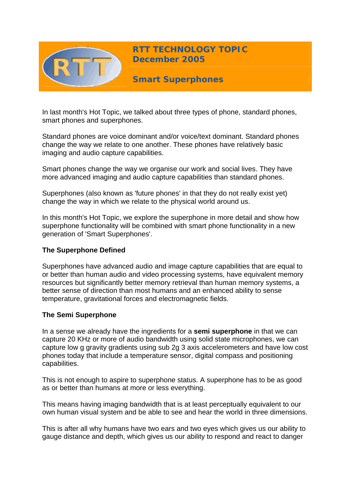

In last month's Hot Topic, we talked about three types of phone, standard phones, smart phones and superphones.

Standard phones are voice dominant and/or voice/text dominant. Standard phones change the way we relate to one another. These phones have relatively basic imaging and audio capture capabilities.

Smart phones change the way we organise our work and social lives. They have more advanced imaging and audio capture capabilities than standard phones.

Superphones (also known as 'future phones' in that they do not really exist yet) change the way in which we relate to the physical world around us.

In this month's Hot Topic, we explore the superphone in more detail and show how superphone functionality will be combined with smart phone functionality in a new generation of 'Smart Superphones'.

### **The Superphone Defined**

Superphones have advanced audio and image capture capabilities that are equal to or better than human audio and video processing systems, have equivalent memory resources but significantly better memory retrieval than human memory systems, a better sense of direction than most humans and an enhanced ability to sense temperature, gravitational forces and electromagnetic fields.

### **The Semi Superphone**

In a sense we already have the ingredients for a **semi superphone** in that we can capture 20 KHz or more of audio bandwidth using solid state microphones, we can capture low g gravity gradients using sub 2g 3 axis accelerometers and have low cost phones today that include a temperature sensor, digital compass and positioning capabilities.

This is not enough to aspire to superphone status. A superphone has to be as good as or better than humans at more or less everything.

This means having imaging bandwidth that is at least perceptually equivalent to our own human visual system and be able to see and hear the world in three dimensions.

This is after all why humans have two ears and two eyes which gives us our ability to gauge distance and depth, which gives us our ability to respond and react to danger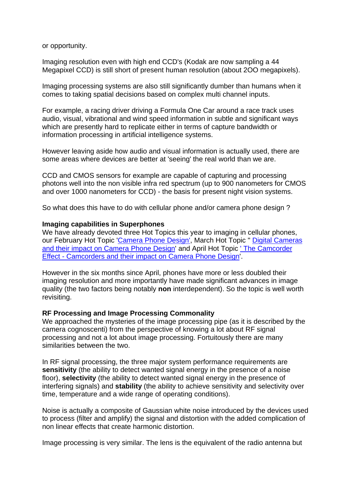or opportunity.

Imaging resolution even with high end CCD's (Kodak are now sampling a 44 Megapixel CCD) is still short of present human resolution (about 2OO megapixels).

Imaging processing systems are also still significantly dumber than humans when it comes to taking spatial decisions based on complex multi channel inputs.

For example, a racing driver driving a Formula One Car around a race track uses audio, visual, vibrational and wind speed information in subtle and significant ways which are presently hard to replicate either in terms of capture bandwidth or information processing in artificial intelligence systems.

However leaving aside how audio and visual information is actually used, there are some areas where devices are better at 'seeing' the real world than we are.

CCD and CMOS sensors for example are capable of capturing and processing photons well into the non visible infra red spectrum (up to 900 nanometers for CMOS and over 1000 nanometers for CCD) - the basis for present night vision systems.

So what does this have to do with cellular phone and/or camera phone design ?

#### **Imaging capabilities in Superphones**

We have already devoted three Hot Topics this year to imaging in cellular phones, our February Hot Topic '[Camera Phone Design',](http://www.rttonline.com/HotTopics/HT_Feb05e.htm) March Hot Topic " Digital Cameras [and their impact on Camera Phone Design](http://www.rttonline.com/HotTopics/HT_mar05e.htm)' and April Hot Topic [' The Camcorder](http://www.rttonline.com/HotTopics/HT_Apr05e.htm)  [Effect - Camcorders and their impact on Camera Phone Design](http://www.rttonline.com/HotTopics/HT_Apr05e.htm)'.

However in the six months since April, phones have more or less doubled their imaging resolution and more importantly have made significant advances in image quality (the two factors being notably **non** interdependent). So the topic is well worth revisiting.

### **RF Processing and Image Processing Commonality**

We approached the mysteries of the image processing pipe (as it is described by the camera cognoscenti) from the perspective of knowing a lot about RF signal processing and not a lot about image processing. Fortuitously there are many similarities between the two.

In RF signal processing, the three major system performance requirements are **sensitivity** (the ability to detect wanted signal energy in the presence of a noise floor), **selectivity** (the ability to detect wanted signal energy in the presence of interfering signals) and **stability** (the ability to achieve sensitivity and selectivity over time, temperature and a wide range of operating conditions).

Noise is actually a composite of Gaussian white noise introduced by the devices used to process (filter and amplify) the signal and distortion with the added complication of non linear effects that create harmonic distortion.

Image processing is very similar. The lens is the equivalent of the radio antenna but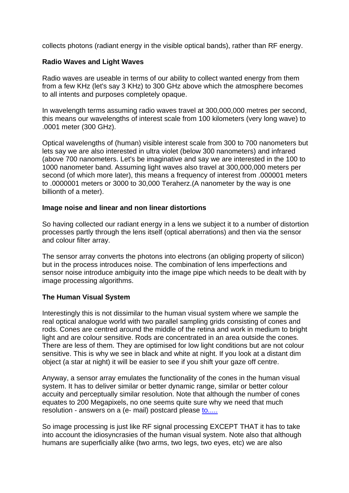collects photons (radiant energy in the visible optical bands), rather than RF energy.

# **Radio Waves and Light Waves**

Radio waves are useable in terms of our ability to collect wanted energy from them from a few KHz (let's say 3 KHz) to 300 GHz above which the atmosphere becomes to all intents and purposes completely opaque.

In wavelength terms assuming radio waves travel at 300,000,000 metres per second, this means our wavelengths of interest scale from 100 kilometers (very long wave) to .0001 meter (300 GHz).

Optical wavelengths of (human) visible interest scale from 300 to 700 nanometers but lets say we are also interested in ultra violet (below 300 nanometers) and infrared (above 700 nanometers. Let's be imaginative and say we are interested in the 100 to 1000 nanometer band. Assuming light waves also travel at 300,000,000 meters per second (of which more later), this means a frequency of interest from .000001 meters to .0000001 meters or 3000 to 30,000 Teraherz.(A nanometer by the way is one billionth of a meter).

### **Image noise and linear and non linear distortions**

So having collected our radiant energy in a lens we subject it to a number of distortion processes partly through the lens itself (optical aberrations) and then via the sensor and colour filter array.

The sensor array converts the photons into electrons (an obliging property of silicon) but in the process introduces noise. The combination of lens imperfections and sensor noise introduce ambiguity into the image pipe which needs to be dealt with by image processing algorithms.

# **The Human Visual System**

Interestingly this is not dissimilar to the human visual system where we sample the real optical analogue world with two parallel sampling grids consisting of cones and rods. Cones are centred around the middle of the retina and work in medium to bright light and are colour sensitive. Rods are concentrated in an area outside the cones. There are less of them. They are optimised for low light conditions but are not colour sensitive. This is why we see in black and white at night. If you look at a distant dim object (a star at night) it will be easier to see if you shift your gaze off centre.

Anyway, a sensor array emulates the functionality of the cones in the human visual system. It has to deliver similar or better dynamic range, similar or better colour accuity and perceptually similar resolution. Note that although the number of cones equates to 200 Megapixels, no one seems quite sure why we need that much resolution - answers on a (e- mail) postcard please [to.....](mailto:geoff@rttonline.com)

So image processing is just like RF signal processing EXCEPT THAT it has to take into account the idiosyncrasies of the human visual system. Note also that although humans are superficially alike (two arms, two legs, two eyes, etc) we are also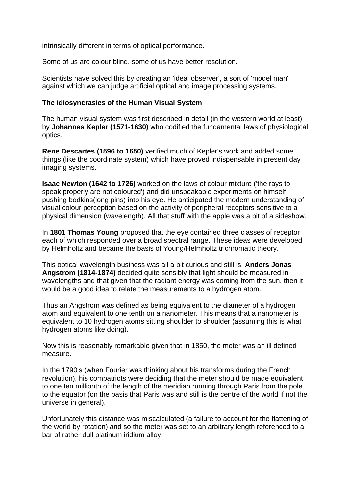intrinsically different in terms of optical performance.

Some of us are colour blind, some of us have better resolution.

Scientists have solved this by creating an 'ideal observer', a sort of 'model man' against which we can judge artificial optical and image processing systems.

### **The idiosyncrasies of the Human Visual System**

The human visual system was first described in detail (in the western world at least) by **Johannes Kepler (1571-1630)** who codified the fundamental laws of physiological optics.

**Rene Descartes (1596 to 1650)** verified much of Kepler's work and added some things (like the coordinate system) which have proved indispensable in present day imaging systems.

**Isaac Newton (1642 to 1726)** worked on the laws of colour mixture ('the rays to speak properly are not coloured') and did unspeakable experiments on himself pushing bodkins(long pins) into his eye. He anticipated the modern understanding of visual colour perception based on the activity of peripheral receptors sensitive to a physical dimension (wavelength). All that stuff with the apple was a bit of a sideshow.

In **1801 Thomas Young** proposed that the eye contained three classes of receptor each of which responded over a broad spectral range. These ideas were developed by Helmholtz and became the basis of Young/Helmholtz trichromatic theory.

This optical wavelength business was all a bit curious and still is. **Anders Jonas Angstrom (1814-1874)** decided quite sensibly that light should be measured in wavelengths and that given that the radiant energy was coming from the sun, then it would be a good idea to relate the measurements to a hydrogen atom.

Thus an Angstrom was defined as being equivalent to the diameter of a hydrogen atom and equivalent to one tenth on a nanometer. This means that a nanometer is equivalent to 10 hydrogen atoms sitting shoulder to shoulder (assuming this is what hydrogen atoms like doing).

Now this is reasonably remarkable given that in 1850, the meter was an ill defined measure.

In the 1790's (when Fourier was thinking about his transforms during the French revolution), his compatriots were deciding that the meter should be made equivalent to one ten millionth of the length of the meridian running through Paris from the pole to the equator (on the basis that Paris was and still is the centre of the world if not the universe in general).

Unfortunately this distance was miscalculated (a failure to account for the flattening of the world by rotation) and so the meter was set to an arbitrary length referenced to a bar of rather dull platinum iridium alloy.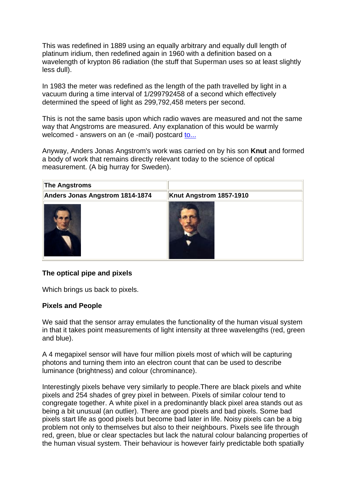This was redefined in 1889 using an equally arbitrary and equally dull length of platinum iridium, then redefined again in 1960 with a definition based on a wavelength of krypton 86 radiation (the stuff that Superman uses so at least slightly less dull).

In 1983 the meter was redefined as the length of the path travelled by light in a vacuum during a time interval of 1/299792458 of a second which effectively determined the speed of light as 299,792,458 meters per second.

This is not the same basis upon which radio waves are measured and not the same way that Angstroms are measured. Any explanation of this would be warmly welcomed - answers on an (e -mail) postcard [to...](mailto:geoff@rttonline.com)

Anyway, Anders Jonas Angstrom's work was carried on by his son **Knut** and formed a body of work that remains directly relevant today to the science of optical measurement. (A big hurray for Sweden).

| <b>The Angstroms</b>            |                         |  |
|---------------------------------|-------------------------|--|
| Anders Jonas Angstrom 1814-1874 | Knut Angstrom 1857-1910 |  |
|                                 |                         |  |

# **The optical pipe and pixels**

Which brings us back to pixels.

### **Pixels and People**

We said that the sensor array emulates the functionality of the human visual system in that it takes point measurements of light intensity at three wavelengths (red, green and blue).

A 4 megapixel sensor will have four million pixels most of which will be capturing photons and turning them into an electron count that can be used to describe luminance (brightness) and colour (chrominance).

Interestingly pixels behave very similarly to people.There are black pixels and white pixels and 254 shades of grey pixel in between. Pixels of similar colour tend to congregate together. A white pixel in a predominantly black pixel area stands out as being a bit unusual (an outlier). There are good pixels and bad pixels. Some bad pixels start life as good pixels but become bad later in life. Noisy pixels can be a big problem not only to themselves but also to their neighbours. Pixels see life through red, green, blue or clear spectacles but lack the natural colour balancing properties of the human visual system. Their behaviour is however fairly predictable both spatially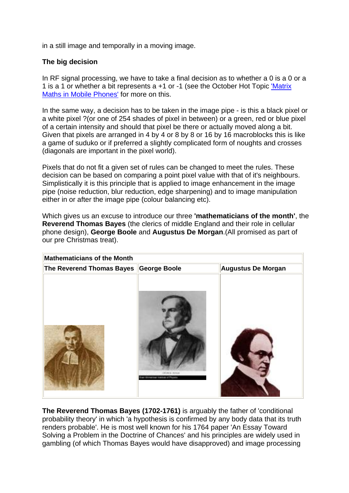in a still image and temporally in a moving image.

## **The big decision**

In RF signal processing, we have to take a final decision as to whether a 0 is a 0 or a 1 is a 1 or whether a bit represents a +1 or -1 (see the October Hot Topic ['Matrix](http://www.rttonline.com/HotTopics/HT_Oct05e.htm)  [Maths in Mobile Phones'](http://www.rttonline.com/HotTopics/HT_Oct05e.htm) for more on this.

In the same way, a decision has to be taken in the image pipe - is this a black pixel or a white pixel ?(or one of 254 shades of pixel in between) or a green, red or blue pixel of a certain intensity and should that pixel be there or actually moved along a bit. Given that pixels are arranged in 4 by 4 or 8 by 8 or 16 by 16 macroblocks this is like a game of suduko or if preferred a slightly complicated form of noughts and crosses (diagonals are important in the pixel world).

Pixels that do not fit a given set of rules can be changed to meet the rules. These decision can be based on comparing a point pixel value with that of it's neighbours. Simplistically it is this principle that is applied to image enhancement in the image pipe (noise reduction, blur reduction, edge sharpening) and to image manipulation either in or after the image pipe (colour balancing etc).

Which gives us an excuse to introduce our three **'mathematicians of the month'**, the **Reverend Thomas Bayes** (the clerics of middle England and their role in cellular phone design), **George Boole** and **Augustus De Morgan**.(All promised as part of our pre Christmas treat).

| <b>Mathematicians of the Month</b>     |                                  |                           |
|----------------------------------------|----------------------------------|---------------------------|
| The Reverend Thomas Bayes George Boole |                                  | <b>Augustus De Morgan</b> |
|                                        | of Goldmanner manifest of Phones |                           |

**The Reverend Thomas Bayes (1702-1761)** is arguably the father of 'conditional probability theory' in which 'a hypothesis is confirmed by any body data that its truth renders probable'. He is most well known for his 1764 paper 'An Essay Toward Solving a Problem in the Doctrine of Chances' and his principles are widely used in gambling (of which Thomas Bayes would have disapproved) and image processing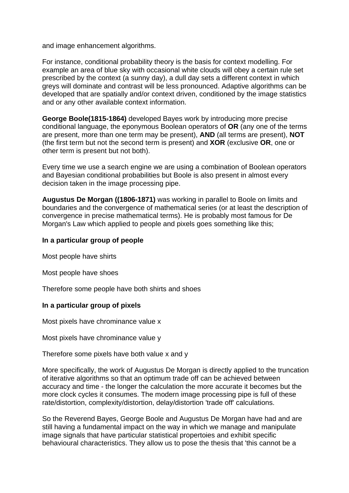and image enhancement algorithms.

For instance, conditional probability theory is the basis for context modelling. For example an area of blue sky with occasional white clouds will obey a certain rule set prescribed by the context (a sunny day), a dull day sets a different context in which greys will dominate and contrast will be less pronounced. Adaptive algorithms can be developed that are spatially and/or context driven, conditioned by the image statistics and or any other available context information.

**George Boole(1815-1864)** developed Bayes work by introducing more precise conditional language, the eponymous Boolean operators of **OR** (any one of the terms are present, more than one term may be present), **AND** (all terms are present), **NOT**  (the first term but not the second term is present) and **XOR** (exclusive **OR**, one or other term is present but not both).

Every time we use a search engine we are using a combination of Boolean operators and Bayesian conditional probabilities but Boole is also present in almost every decision taken in the image processing pipe.

**Augustus De Morgan ((1806-1871)** was working in parallel to Boole on limits and boundaries and the convergence of mathematical series (or at least the description of convergence in precise mathematical terms). He is probably most famous for De Morgan's Law which applied to people and pixels goes something like this;

### **In a particular group of people**

Most people have shirts

Most people have shoes

Therefore some people have both shirts and shoes

### **In a particular group of pixels**

Most pixels have chrominance value x

Most pixels have chrominance value y

Therefore some pixels have both value x and y

More specifically, the work of Augustus De Morgan is directly applied to the truncation of iterative algorithms so that an optimum trade off can be achieved between accuracy and time - the longer the calculation the more accurate it becomes but the more clock cycles it consumes. The modern image processing pipe is full of these rate/distortion, complexity/distortion, delay/distortion 'trade off' calculations.

So the Reverend Bayes, George Boole and Augustus De Morgan have had and are still having a fundamental impact on the way in which we manage and manipulate image signals that have particular statistical propertoies and exhibit specific behavioural characteristics. They allow us to pose the thesis that 'this cannot be a